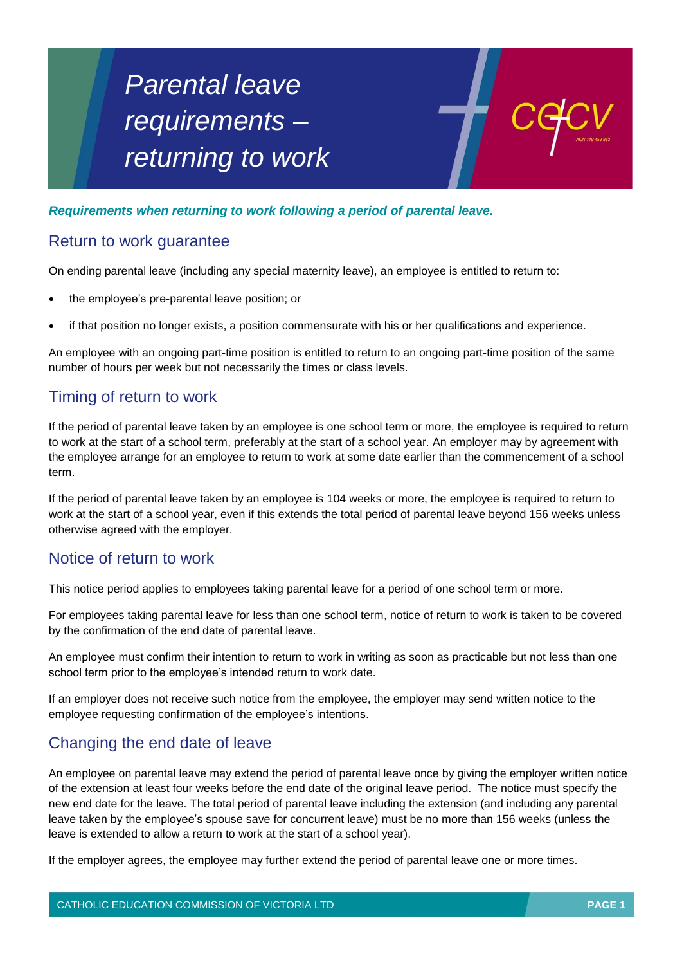# *Parental leave requirements – returning to work*



#### *Requirements when returning to work following a period of parental leave.*

### Return to work guarantee

On ending parental leave (including any special maternity leave), an employee is entitled to return to:

- the employee's pre-parental leave position; or
- if that position no longer exists, a position commensurate with his or her qualifications and experience.

An employee with an ongoing part-time position is entitled to return to an ongoing part-time position of the same number of hours per week but not necessarily the times or class levels.

## Timing of return to work

If the period of parental leave taken by an employee is one school term or more, the employee is required to return to work at the start of a school term, preferably at the start of a school year. An employer may by agreement with the employee arrange for an employee to return to work at some date earlier than the commencement of a school term.

If the period of parental leave taken by an employee is 104 weeks or more, the employee is required to return to work at the start of a school year, even if this extends the total period of parental leave beyond 156 weeks unless otherwise agreed with the employer.

#### Notice of return to work

This notice period applies to employees taking parental leave for a period of one school term or more.

For employees taking parental leave for less than one school term, notice of return to work is taken to be covered by the confirmation of the end date of parental leave.

An employee must confirm their intention to return to work in writing as soon as practicable but not less than one school term prior to the employee's intended return to work date.

If an employer does not receive such notice from the employee, the employer may send written notice to the employee requesting confirmation of the employee's intentions.

## Changing the end date of leave

An employee on parental leave may extend the period of parental leave once by giving the employer written notice of the extension at least four weeks before the end date of the original leave period. The notice must specify the new end date for the leave. The total period of parental leave including the extension (and including any parental leave taken by the employee's spouse save for concurrent leave) must be no more than 156 weeks (unless the leave is extended to allow a return to work at the start of a school year).

If the employer agrees, the employee may further extend the period of parental leave one or more times.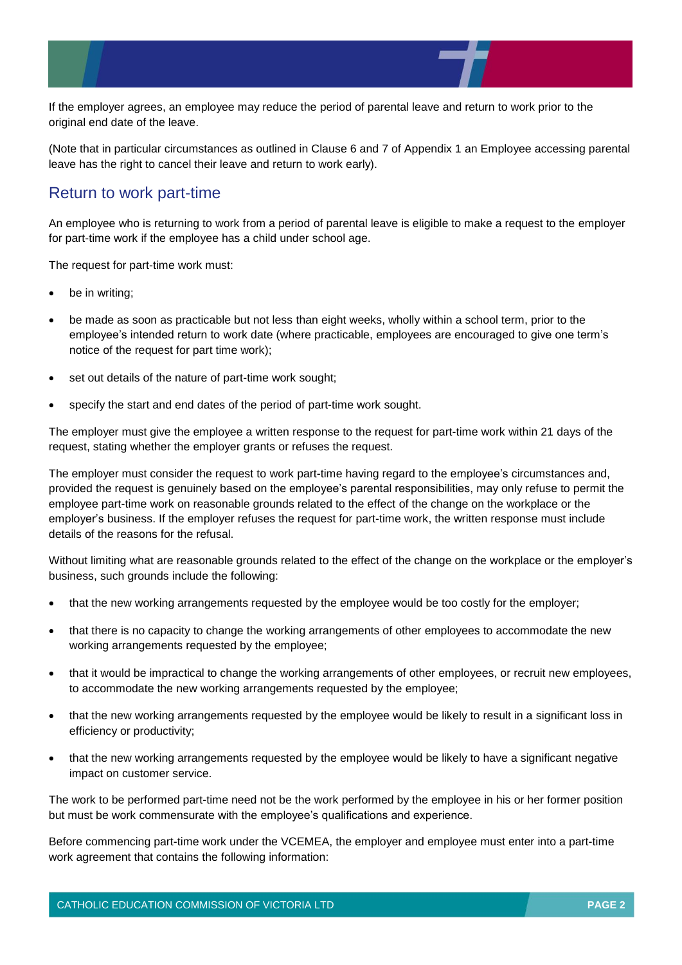

If the employer agrees, an employee may reduce the period of parental leave and return to work prior to the original end date of the leave.

(Note that in particular circumstances as outlined in Clause 6 and 7 of Appendix 1 an Employee accessing parental leave has the right to cancel their leave and return to work early).

### Return to work part-time

An employee who is returning to work from a period of parental leave is eligible to make a request to the employer for part-time work if the employee has a child under school age.

The request for part-time work must:

- be in writing;
- be made as soon as practicable but not less than eight weeks, wholly within a school term, prior to the employee's intended return to work date (where practicable, employees are encouraged to give one term's notice of the request for part time work);
- set out details of the nature of part-time work sought;
- specify the start and end dates of the period of part-time work sought.

The employer must give the employee a written response to the request for part-time work within 21 days of the request, stating whether the employer grants or refuses the request.

The employer must consider the request to work part-time having regard to the employee's circumstances and, provided the request is genuinely based on the employee's parental responsibilities, may only refuse to permit the employee part-time work on reasonable grounds related to the effect of the change on the workplace or the employer's business. If the employer refuses the request for part-time work, the written response must include details of the reasons for the refusal.

Without limiting what are reasonable grounds related to the effect of the change on the workplace or the employer's business, such grounds include the following:

- that the new working arrangements requested by the employee would be too costly for the employer;
- that there is no capacity to change the working arrangements of other employees to accommodate the new working arrangements requested by the employee;
- that it would be impractical to change the working arrangements of other employees, or recruit new employees, to accommodate the new working arrangements requested by the employee;
- that the new working arrangements requested by the employee would be likely to result in a significant loss in efficiency or productivity;
- that the new working arrangements requested by the employee would be likely to have a significant negative impact on customer service.

The work to be performed part-time need not be the work performed by the employee in his or her former position but must be work commensurate with the employee's qualifications and experience.

Before commencing part-time work under the VCEMEA, the employer and employee must enter into a part-time work agreement that contains the following information: